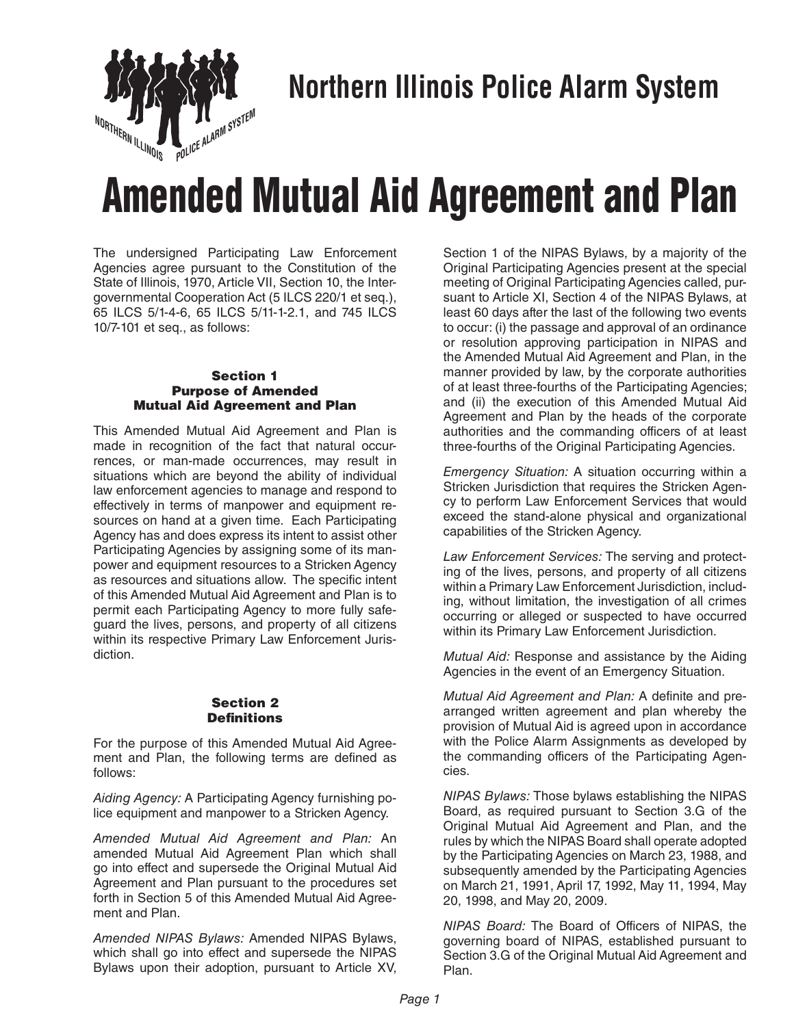

## **Northern Illinois Police Alarm System**

# Amended Mutual Aid Agreement and Plan

The undersigned Participating Law Enforcement Agencies agree pursuant to the Constitution of the State of Illinois, 1970, Article VII, Section 10, the Intergovernmental Cooperation Act (5 ILCS 220/1 et seq.), 65 ILCS 5/1-4-6, 65 ILCS 5/11-1-2.1, and 745 ILCS 10/7-101 et seq., as follows:

#### Section 1 Purpose of Amended Mutual Aid Agreement and Plan

This Amended Mutual Aid Agreement and Plan is made in recognition of the fact that natural occurrences, or man-made occurrences, may result in situations which are beyond the ability of individual law enforcement agencies to manage and respond to effectively in terms of manpower and equipment resources on hand at a given time. Each Participating Agency has and does express its intent to assist other Participating Agencies by assigning some of its manpower and equipment resources to a Stricken Agency as resources and situations allow. The specific intent of this Amended Mutual Aid Agreement and Plan is to permit each Participating Agency to more fully safeguard the lives, persons, and property of all citizens within its respective Primary Law Enforcement Jurisdiction.

#### Section 2 **Definitions**

For the purpose of this Amended Mutual Aid Agreement and Plan, the following terms are defined as follows:

*Aiding Agency:* A Participating Agency furnishing police equipment and manpower to a Stricken Agency.

*Amended Mutual Aid Agreement and Plan:* An amended Mutual Aid Agreement Plan which shall go into effect and supersede the Original Mutual Aid Agreement and Plan pursuant to the procedures set forth in Section 5 of this Amended Mutual Aid Agreement and Plan.

*Amended NIPAS Bylaws:* Amended NIPAS Bylaws, which shall go into effect and supersede the NIPAS Bylaws upon their adoption, pursuant to Article XV,

Section 1 of the NIPAS Bylaws, by a majority of the Original Participating Agencies present at the special meeting of Original Participating Agencies called, pursuant to Article XI, Section 4 of the NIPAS Bylaws, at least 60 days after the last of the following two events to occur: (i) the passage and approval of an ordinance or resolution approving participation in NIPAS and the Amended Mutual Aid Agreement and Plan, in the manner provided by law, by the corporate authorities of at least three-fourths of the Participating Agencies; and (ii) the execution of this Amended Mutual Aid Agreement and Plan by the heads of the corporate authorities and the commanding officers of at least three-fourths of the Original Participating Agencies.

*Emergency Situation:* A situation occurring within a Stricken Jurisdiction that requires the Stricken Agency to perform Law Enforcement Services that would exceed the stand-alone physical and organizational capabilities of the Stricken Agency.

*Law Enforcement Services:* The serving and protecting of the lives, persons, and property of all citizens within a Primary Law Enforcement Jurisdiction, including, without limitation, the investigation of all crimes occurring or alleged or suspected to have occurred within its Primary Law Enforcement Jurisdiction.

*Mutual Aid:* Response and assistance by the Aiding Agencies in the event of an Emergency Situation.

*Mutual Aid Agreement and Plan:* A definite and prearranged written agreement and plan whereby the provision of Mutual Aid is agreed upon in accordance with the Police Alarm Assignments as developed by the commanding officers of the Participating Agencies.

*NIPAS Bylaws:* Those bylaws establishing the NIPAS Board, as required pursuant to Section 3.G of the Original Mutual Aid Agreement and Plan, and the rules by which the NIPAS Board shall operate adopted by the Participating Agencies on March 23, 1988, and subsequently amended by the Participating Agencies on March 21, 1991, April 17, 1992, May 11, 1994, May 20, 1998, and May 20, 2009.

*NIPAS Board:* The Board of Officers of NIPAS, the governing board of NIPAS, established pursuant to Section 3.G of the Original Mutual Aid Agreement and Plan.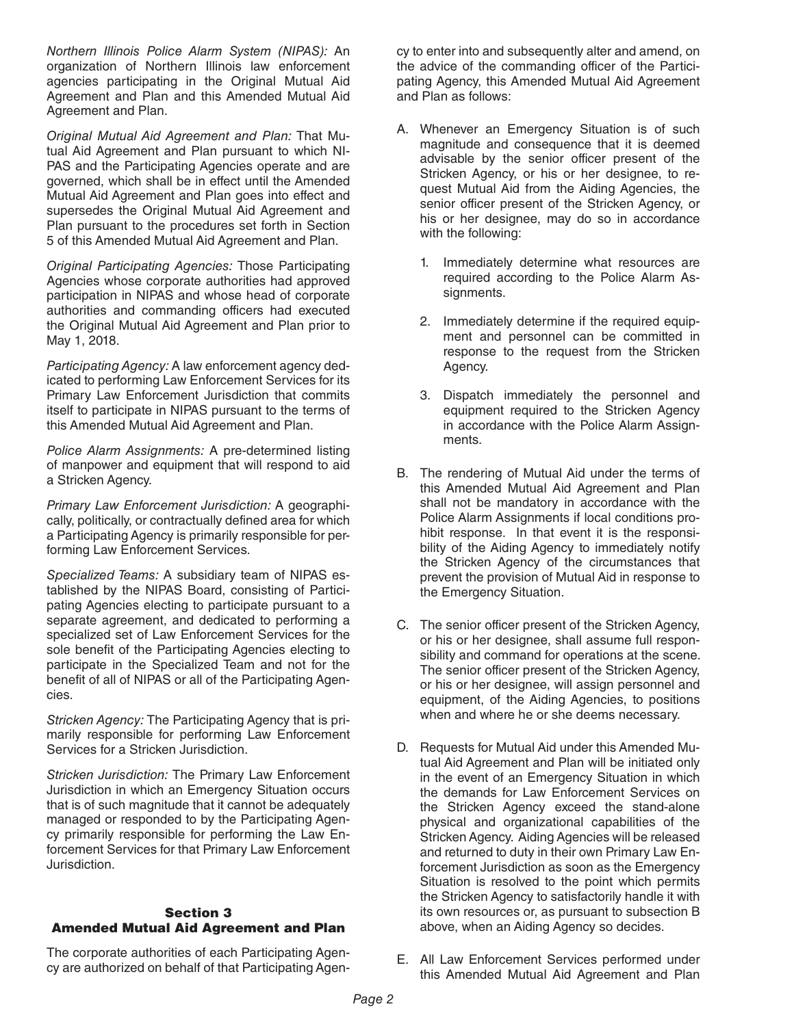*Northern Illinois Police Alarm System (NIPAS):* An organization of Northern Illinois law enforcement agencies participating in the Original Mutual Aid Agreement and Plan and this Amended Mutual Aid Agreement and Plan.

*Original Mutual Aid Agreement and Plan:* That Mutual Aid Agreement and Plan pursuant to which NI-PAS and the Participating Agencies operate and are governed, which shall be in effect until the Amended Mutual Aid Agreement and Plan goes into effect and supersedes the Original Mutual Aid Agreement and Plan pursuant to the procedures set forth in Section 5 of this Amended Mutual Aid Agreement and Plan.

*Original Participating Agencies:* Those Participating Agencies whose corporate authorities had approved participation in NIPAS and whose head of corporate authorities and commanding officers had executed the Original Mutual Aid Agreement and Plan prior to May 1, 2018.

*Participating Agency:* A law enforcement agency dedicated to performing Law Enforcement Services for its Primary Law Enforcement Jurisdiction that commits itself to participate in NIPAS pursuant to the terms of this Amended Mutual Aid Agreement and Plan.

*Police Alarm Assignments:* A pre-determined listing of manpower and equipment that will respond to aid a Stricken Agency.

*Primary Law Enforcement Jurisdiction:* A geographically, politically, or contractually defined area for which a Participating Agency is primarily responsible for performing Law Enforcement Services.

*Specialized Teams:* A subsidiary team of NIPAS established by the NIPAS Board, consisting of Participating Agencies electing to participate pursuant to a separate agreement, and dedicated to performing a specialized set of Law Enforcement Services for the sole benefit of the Participating Agencies electing to participate in the Specialized Team and not for the benefit of all of NIPAS or all of the Participating Agencies.

*Stricken Agency:* The Participating Agency that is primarily responsible for performing Law Enforcement Services for a Stricken Jurisdiction.

*Stricken Jurisdiction:* The Primary Law Enforcement Jurisdiction in which an Emergency Situation occurs that is of such magnitude that it cannot be adequately managed or responded to by the Participating Agency primarily responsible for performing the Law Enforcement Services for that Primary Law Enforcement Jurisdiction.

### Section 3 Amended Mutual Aid Agreement and Plan

The corporate authorities of each Participating Agency are authorized on behalf of that Participating Agency to enter into and subsequently alter and amend, on the advice of the commanding officer of the Participating Agency, this Amended Mutual Aid Agreement and Plan as follows:

- A. Whenever an Emergency Situation is of such magnitude and consequence that it is deemed advisable by the senior officer present of the Stricken Agency, or his or her designee, to request Mutual Aid from the Aiding Agencies, the senior officer present of the Stricken Agency, or his or her designee, may do so in accordance with the following:
	- 1. Immediately determine what resources are required according to the Police Alarm Assignments.
	- 2. Immediately determine if the required equipment and personnel can be committed in response to the request from the Stricken Agency.
	- 3. Dispatch immediately the personnel and equipment required to the Stricken Agency in accordance with the Police Alarm Assignments.
- B. The rendering of Mutual Aid under the terms of this Amended Mutual Aid Agreement and Plan shall not be mandatory in accordance with the Police Alarm Assignments if local conditions prohibit response. In that event it is the responsibility of the Aiding Agency to immediately notify the Stricken Agency of the circumstances that prevent the provision of Mutual Aid in response to the Emergency Situation.
- C. The senior officer present of the Stricken Agency, or his or her designee, shall assume full responsibility and command for operations at the scene. The senior officer present of the Stricken Agency, or his or her designee, will assign personnel and equipment, of the Aiding Agencies, to positions when and where he or she deems necessary.
- D. Requests for Mutual Aid under this Amended Mutual Aid Agreement and Plan will be initiated only in the event of an Emergency Situation in which the demands for Law Enforcement Services on the Stricken Agency exceed the stand-alone physical and organizational capabilities of the Stricken Agency. Aiding Agencies will be released and returned to duty in their own Primary Law Enforcement Jurisdiction as soon as the Emergency Situation is resolved to the point which permits the Stricken Agency to satisfactorily handle it with its own resources or, as pursuant to subsection B above, when an Aiding Agency so decides.
- E. All Law Enforcement Services performed under this Amended Mutual Aid Agreement and Plan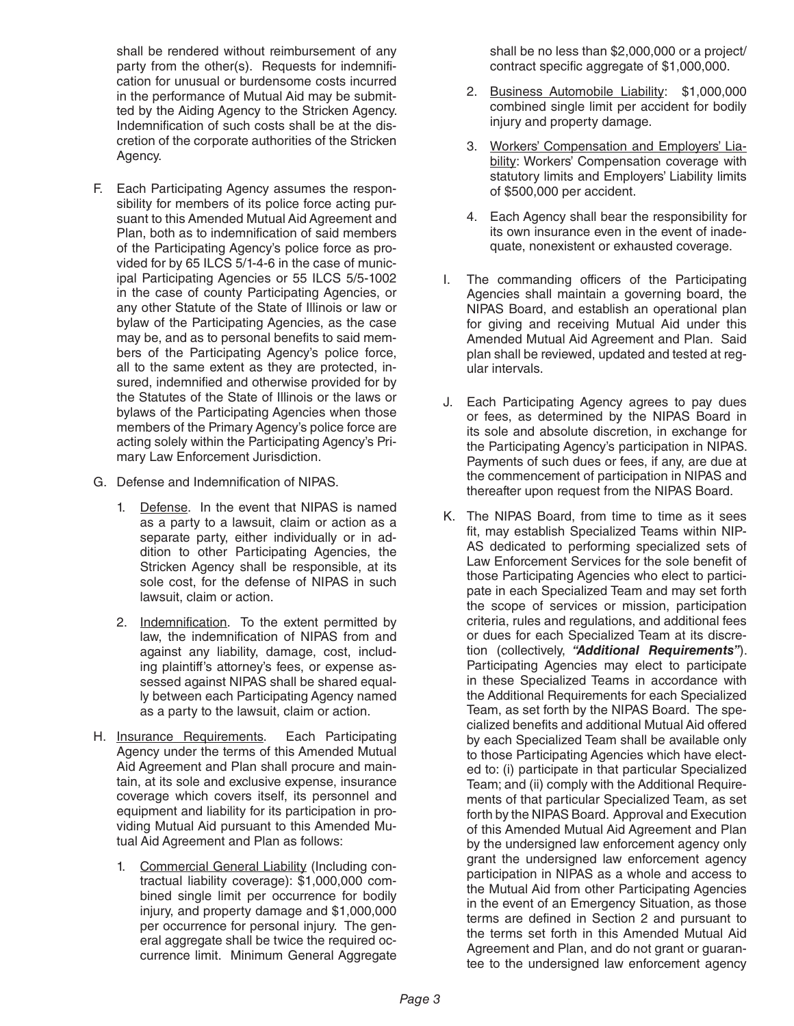shall be rendered without reimbursement of any party from the other(s). Requests for indemnification for unusual or burdensome costs incurred in the performance of Mutual Aid may be submitted by the Aiding Agency to the Stricken Agency. Indemnification of such costs shall be at the discretion of the corporate authorities of the Stricken Agency.

- F. Each Participating Agency assumes the responsibility for members of its police force acting pursuant to this Amended Mutual Aid Agreement and Plan, both as to indemnification of said members of the Participating Agency's police force as provided for by 65 ILCS 5/1-4-6 in the case of municipal Participating Agencies or 55 ILCS 5/5-1002 in the case of county Participating Agencies, or any other Statute of the State of Illinois or law or bylaw of the Participating Agencies, as the case may be, and as to personal benefits to said members of the Participating Agency's police force, all to the same extent as they are protected, insured, indemnified and otherwise provided for by the Statutes of the State of Illinois or the laws or bylaws of the Participating Agencies when those members of the Primary Agency's police force are acting solely within the Participating Agency's Primary Law Enforcement Jurisdiction.
- G. Defense and Indemnification of NIPAS.
	- 1. Defense. In the event that NIPAS is named as a party to a lawsuit, claim or action as a separate party, either individually or in addition to other Participating Agencies, the Stricken Agency shall be responsible, at its sole cost, for the defense of NIPAS in such lawsuit, claim or action.
	- 2. Indemnification. To the extent permitted by law, the indemnification of NIPAS from and against any liability, damage, cost, including plaintiff's attorney's fees, or expense assessed against NIPAS shall be shared equally between each Participating Agency named as a party to the lawsuit, claim or action.
- H. Insurance Requirements. Each Participating Agency under the terms of this Amended Mutual Aid Agreement and Plan shall procure and maintain, at its sole and exclusive expense, insurance coverage which covers itself, its personnel and equipment and liability for its participation in providing Mutual Aid pursuant to this Amended Mutual Aid Agreement and Plan as follows:
	- 1. Commercial General Liability (Including contractual liability coverage): \$1,000,000 combined single limit per occurrence for bodily injury, and property damage and \$1,000,000 per occurrence for personal injury. The general aggregate shall be twice the required occurrence limit. Minimum General Aggregate

shall be no less than \$2,000,000 or a project/ contract specific aggregate of \$1,000,000.

- 2. Business Automobile Liability: \$1,000,000 combined single limit per accident for bodily injury and property damage.
- 3. Workers' Compensation and Employers' Liability: Workers' Compensation coverage with statutory limits and Employers' Liability limits of \$500,000 per accident.
- 4. Each Agency shall bear the responsibility for its own insurance even in the event of inadequate, nonexistent or exhausted coverage.
- I. The commanding officers of the Participating Agencies shall maintain a governing board, the NIPAS Board, and establish an operational plan for giving and receiving Mutual Aid under this Amended Mutual Aid Agreement and Plan. Said plan shall be reviewed, updated and tested at regular intervals.
- J. Each Participating Agency agrees to pay dues or fees, as determined by the NIPAS Board in its sole and absolute discretion, in exchange for the Participating Agency's participation in NIPAS. Payments of such dues or fees, if any, are due at the commencement of participation in NIPAS and thereafter upon request from the NIPAS Board.
- K. The NIPAS Board, from time to time as it sees fit, may establish Specialized Teams within NIP-AS dedicated to performing specialized sets of Law Enforcement Services for the sole benefit of those Participating Agencies who elect to participate in each Specialized Team and may set forth the scope of services or mission, participation criteria, rules and regulations, and additional fees or dues for each Specialized Team at its discretion (collectively, *"Additional Requirements"*). Participating Agencies may elect to participate in these Specialized Teams in accordance with the Additional Requirements for each Specialized Team, as set forth by the NIPAS Board. The specialized benefits and additional Mutual Aid offered by each Specialized Team shall be available only to those Participating Agencies which have elected to: (i) participate in that particular Specialized Team; and (ii) comply with the Additional Requirements of that particular Specialized Team, as set forth by the NIPAS Board. Approval and Execution of this Amended Mutual Aid Agreement and Plan by the undersigned law enforcement agency only grant the undersigned law enforcement agency participation in NIPAS as a whole and access to the Mutual Aid from other Participating Agencies in the event of an Emergency Situation, as those terms are defined in Section 2 and pursuant to the terms set forth in this Amended Mutual Aid Agreement and Plan, and do not grant or guarantee to the undersigned law enforcement agency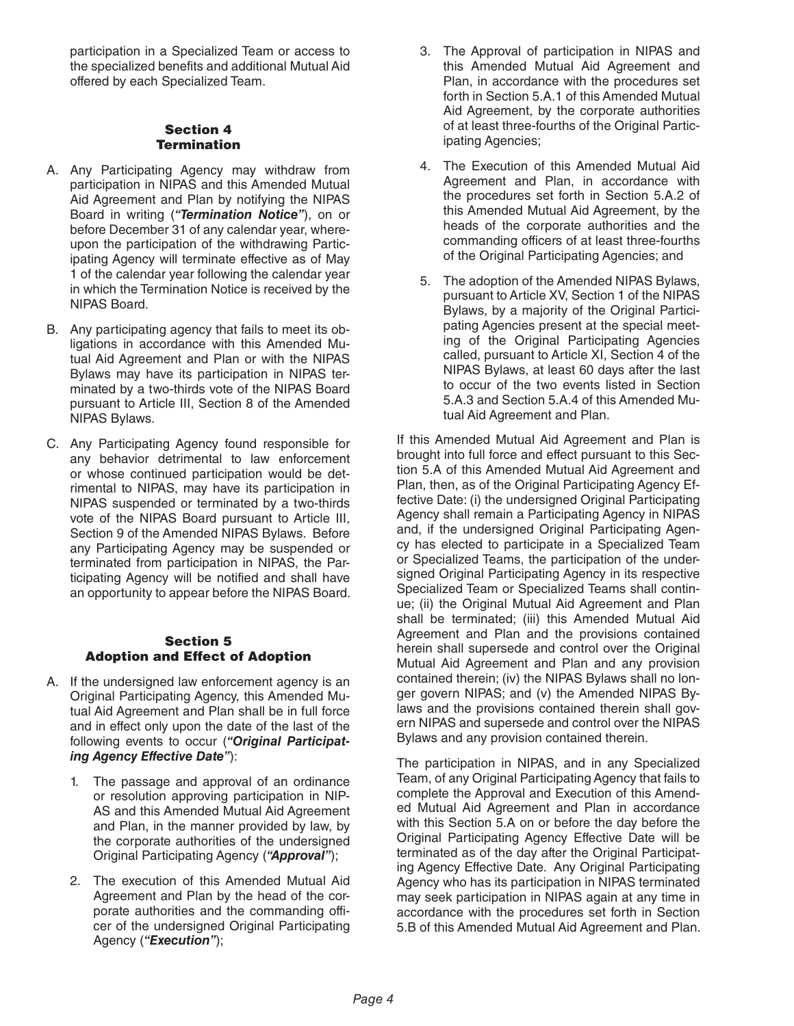participation in a Specialized Team or access to the specialized benefits and additional Mutual Aid offered by each Specialized Team.

#### Section 4 **Termination**

- A. Any Participating Agency may withdraw from participation in NIPAS and this Amended Mutual Aid Agreement and Plan by notifying the NIPAS Board in writing (*"Termination Notice"*), on or before December 31 of any calendar year, whereupon the participation of the withdrawing Participating Agency will terminate effective as of May 1 of the calendar year following the calendar year in which the Termination Notice is received by the NIPAS Board.
- B. Any participating agency that fails to meet its obligations in accordance with this Amended Mutual Aid Agreement and Plan or with the NIPAS Bylaws may have its participation in NIPAS terminated by a two-thirds vote of the NIPAS Board pursuant to Article III, Section 8 of the Amended NIPAS Bylaws.
- C. Any Participating Agency found responsible for any behavior detrimental to law enforcement or whose continued participation would be detrimental to NIPAS, may have its participation in NIPAS suspended or terminated by a two-thirds vote of the NIPAS Board pursuant to Article III, Section 9 of the Amended NIPAS Bylaws. Before any Participating Agency may be suspended or terminated from participation in NIPAS, the Participating Agency will be notified and shall have an opportunity to appear before the NIPAS Board.

#### Section 5 Adoption and Effect of Adoption

- A. If the undersigned law enforcement agency is an Original Participating Agency, this Amended Mutual Aid Agreement and Plan shall be in full force and in effect only upon the date of the last of the following events to occur (*"Original Participating Agency Effective Date"*):
	- 1. The passage and approval of an ordinance or resolution approving participation in NIP-AS and this Amended Mutual Aid Agreement and Plan, in the manner provided by law, by the corporate authorities of the undersigned Original Participating Agency (*"Approval"*);
	- 2. The execution of this Amended Mutual Aid Agreement and Plan by the head of the corporate authorities and the commanding officer of the undersigned Original Participating Agency (*"Execution"*);
- 3. The Approval of participation in NIPAS and this Amended Mutual Aid Agreement and Plan, in accordance with the procedures set forth in Section 5.A.1 of this Amended Mutual Aid Agreement, by the corporate authorities of at least three-fourths of the Original Participating Agencies;
- 4. The Execution of this Amended Mutual Aid Agreement and Plan, in accordance with the procedures set forth in Section 5.A.2 of this Amended Mutual Aid Agreement, by the heads of the corporate authorities and the commanding officers of at least three-fourths of the Original Participating Agencies; and
- 5. The adoption of the Amended NIPAS Bylaws, pursuant to Article XV, Section 1 of the NIPAS Bylaws, by a majority of the Original Participating Agencies present at the special meeting of the Original Participating Agencies called, pursuant to Article XI, Section 4 of the NIPAS Bylaws, at least 60 days after the last to occur of the two events listed in Section 5.A.3 and Section 5.A.4 of this Amended Mutual Aid Agreement and Plan.

If this Amended Mutual Aid Agreement and Plan is brought into full force and effect pursuant to this Section 5.A of this Amended Mutual Aid Agreement and Plan, then, as of the Original Participating Agency Effective Date: (i) the undersigned Original Participating Agency shall remain a Participating Agency in NIPAS and, if the undersigned Original Participating Agency has elected to participate in a Specialized Team or Specialized Teams, the participation of the undersigned Original Participating Agency in its respective Specialized Team or Specialized Teams shall continue; (ii) the Original Mutual Aid Agreement and Plan shall be terminated; (iii) this Amended Mutual Aid Agreement and Plan and the provisions contained herein shall supersede and control over the Original Mutual Aid Agreement and Plan and any provision contained therein; (iv) the NIPAS Bylaws shall no longer govern NIPAS; and (v) the Amended NIPAS Bylaws and the provisions contained therein shall govern NIPAS and supersede and control over the NIPAS Bylaws and any provision contained therein.

The participation in NIPAS, and in any Specialized Team, of any Original Participating Agency that fails to complete the Approval and Execution of this Amended Mutual Aid Agreement and Plan in accordance with this Section 5.A on or before the day before the Original Participating Agency Effective Date will be terminated as of the day after the Original Participating Agency Effective Date. Any Original Participating Agency who has its participation in NIPAS terminated may seek participation in NIPAS again at any time in accordance with the procedures set forth in Section 5.B of this Amended Mutual Aid Agreement and Plan.